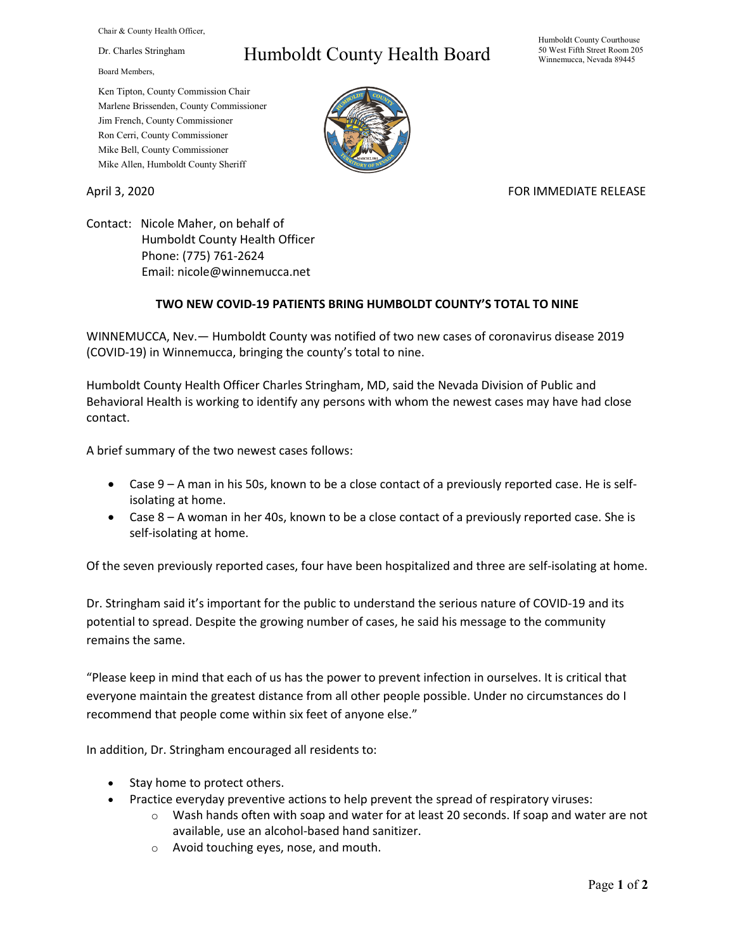Chair & County Health Officer,

Dr. Charles Stringham

Board Members,

## Humboldt County Health Board

Humboldt County Courthouse 50 West Fifth Street Room 205 Winnemucca, Nevada 89445

Ken Tipton, County Commission Chair Marlene Brissenden, County Commissioner Jim French, County Commissioner Ron Cerri, County Commissioner Mike Bell, County Commissioner Mike Allen, Humboldt County Sheriff

## April 3, 2020 **FOR IMMEDIATE RELEASE**

Contact: Nicole Maher, on behalf of Humboldt County Health Officer Phone: (775) 761-2624 Email: nicole@winnemucca.net

## **TWO NEW COVID-19 PATIENTS BRING HUMBOLDT COUNTY'S TOTAL TO NINE**

WINNEMUCCA, Nev.— Humboldt County was notified of two new cases of coronavirus disease 2019 (COVID-19) in Winnemucca, bringing the county's total to nine.

Humboldt County Health Officer Charles Stringham, MD, said the Nevada Division of Public and Behavioral Health is working to identify any persons with whom the newest cases may have had close contact.

A brief summary of the two newest cases follows:

- Case 9 A man in his 50s, known to be a close contact of a previously reported case. He is selfisolating at home.
- Case 8 A woman in her 40s, known to be a close contact of a previously reported case. She is self-isolating at home.

Of the seven previously reported cases, four have been hospitalized and three are self-isolating at home.

Dr. Stringham said it's important for the public to understand the serious nature of COVID-19 and its potential to spread. Despite the growing number of cases, he said his message to the community remains the same.

"Please keep in mind that each of us has the power to prevent infection in ourselves. It is critical that everyone maintain the greatest distance from all other people possible. Under no circumstances do I recommend that people come within six feet of anyone else."

In addition, Dr. Stringham encouraged all residents to:

- Stay home to protect others.
- Practice everyday preventive actions to help prevent the spread of respiratory viruses:
	- o Wash hands often with soap and water for at least 20 seconds. If soap and water are not available, use an alcohol-based hand sanitizer.
	- o Avoid touching eyes, nose, and mouth.